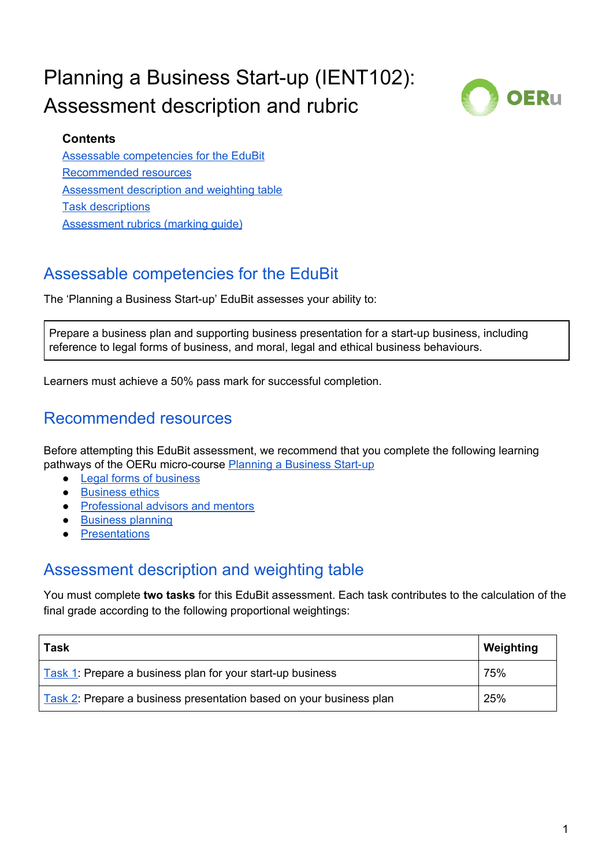# Planning a Business Start-up (IENT102): Assessment description and rubric



#### **Contents**

Assessable [competencies](#page-0-0) for the EduBit [Recommended](#page-0-1) resources [Assessment](#page-0-2) description and weighting table Task [descriptions](#page-1-0) Assessment rubrics (marking guide)

### <span id="page-0-0"></span>Assessable competencies for the EduBit

The 'Planning a Business Start-up' EduBit assesses your ability to:

Prepare a business plan and supporting business presentation for a start-up business, including reference to legal forms of business, and moral, legal and ethical business behaviours.

<span id="page-0-1"></span>Learners must achieve a 50% pass mark for successful completion.

### Recommended resources

Before attempting this EduBit assessment, we recommend that you complete the following learning pathways of the OERu micro-course Planning a [Business](https://course.oeru.org/ient102/startup/start-here/) Start-up

- Legal forms of [business](https://oer.nz/legalforms)
- [Business](https://oer.nz/businessethics) ethics
- [Professional](https://oer.nz/profadvisors) advisors and mentors
- [Business](https://oer.nz/businessplanning) planning
- [Presentations](https://oer.nz/presentations)

### <span id="page-0-2"></span>Assessment description and weighting table

You must complete **two tasks** for this EduBit assessment. Each task contributes to the calculation of the final grade according to the following proportional weightings:

| <b>Task</b>                                                         | Weighting |
|---------------------------------------------------------------------|-----------|
| Task 1: Prepare a business plan for your start-up business          | 75%       |
| Task 2: Prepare a business presentation based on your business plan | 25%       |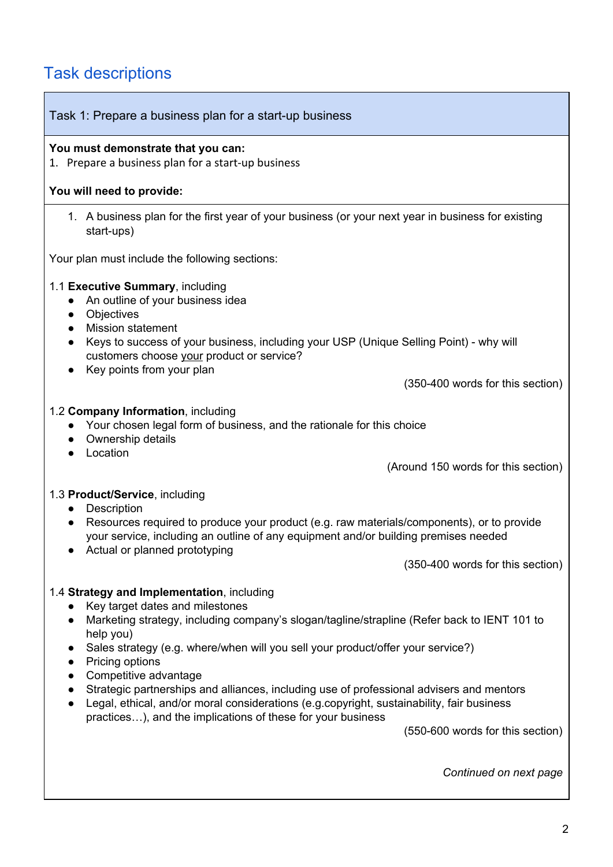## <span id="page-1-0"></span>Task descriptions

<span id="page-1-1"></span>

| Task 1: Prepare a business plan for a start-up business                                                                                                                                                                                                                                                                                                                                                                                                                                                                                                                                                              |
|----------------------------------------------------------------------------------------------------------------------------------------------------------------------------------------------------------------------------------------------------------------------------------------------------------------------------------------------------------------------------------------------------------------------------------------------------------------------------------------------------------------------------------------------------------------------------------------------------------------------|
| You must demonstrate that you can:<br>1. Prepare a business plan for a start-up business                                                                                                                                                                                                                                                                                                                                                                                                                                                                                                                             |
| You will need to provide:                                                                                                                                                                                                                                                                                                                                                                                                                                                                                                                                                                                            |
| 1. A business plan for the first year of your business (or your next year in business for existing<br>start-ups)                                                                                                                                                                                                                                                                                                                                                                                                                                                                                                     |
| Your plan must include the following sections:                                                                                                                                                                                                                                                                                                                                                                                                                                                                                                                                                                       |
| 1.1 Executive Summary, including<br>An outline of your business idea<br>Objectives<br>$\bullet$<br><b>Mission statement</b><br>$\bullet$<br>Keys to success of your business, including your USP (Unique Selling Point) - why will<br>customers choose your product or service?<br>Key points from your plan                                                                                                                                                                                                                                                                                                         |
| (350-400 words for this section)                                                                                                                                                                                                                                                                                                                                                                                                                                                                                                                                                                                     |
| 1.2 Company Information, including<br>Your chosen legal form of business, and the rationale for this choice<br>$\bullet$<br>Ownership details<br>$\bullet$<br>Location<br>(Around 150 words for this section)                                                                                                                                                                                                                                                                                                                                                                                                        |
| 1.3 Product/Service, including<br>Description<br>Resources required to produce your product (e.g. raw materials/components), or to provide<br>$\bullet$<br>your service, including an outline of any equipment and/or building premises needed<br>Actual or planned prototyping<br>(350-400 words for this section)                                                                                                                                                                                                                                                                                                  |
| 1.4 Strategy and Implementation, including<br>Key target dates and milestones<br>Marketing strategy, including company's slogan/tagline/strapline (Refer back to IENT 101 to<br>help you)<br>Sales strategy (e.g. where/when will you sell your product/offer your service?)<br>Pricing options<br>Competitive advantage<br>Strategic partnerships and alliances, including use of professional advisers and mentors<br>Legal, ethical, and/or moral considerations (e.g.copyright, sustainability, fair business<br>practices), and the implications of these for your business<br>(550-600 words for this section) |
| Continued on next page                                                                                                                                                                                                                                                                                                                                                                                                                                                                                                                                                                                               |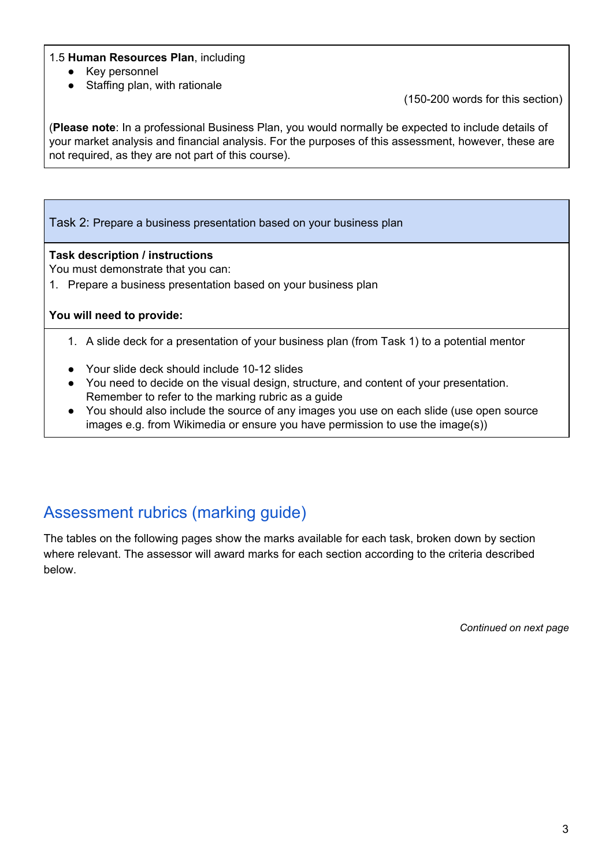#### 1.5 **Human Resources Plan**, including

- Key personnel
- Staffing plan, with rationale

(150-200 words for this section)

(**Please note**: In a professional Business Plan, you would normally be expected to include details of your market analysis and financial analysis. For the purposes of this assessment, however, these are not required, as they are not part of this course).

<span id="page-2-0"></span>Task 2: Prepare a business presentation based on your business plan

#### **Task description / instructions**

You must demonstrate that you can:

1. Prepare a business presentation based on your business plan

#### **You will need to provide:**

- 1. A slide deck for a presentation of your business plan (from Task 1) to a potential mentor
- Your slide deck should include 10-12 slides
- You need to decide on the visual design, structure, and content of your presentation. Remember to refer to the marking rubric as a guide
- You should also include the source of any images you use on each slide (use open source images e.g. from Wikimedia or ensure you have permission to use the image(s))

### Assessment rubrics (marking guide)

The tables on the following pages show the marks available for each task, broken down by section where relevant. The assessor will award marks for each section according to the criteria described below.

*Continued on next page*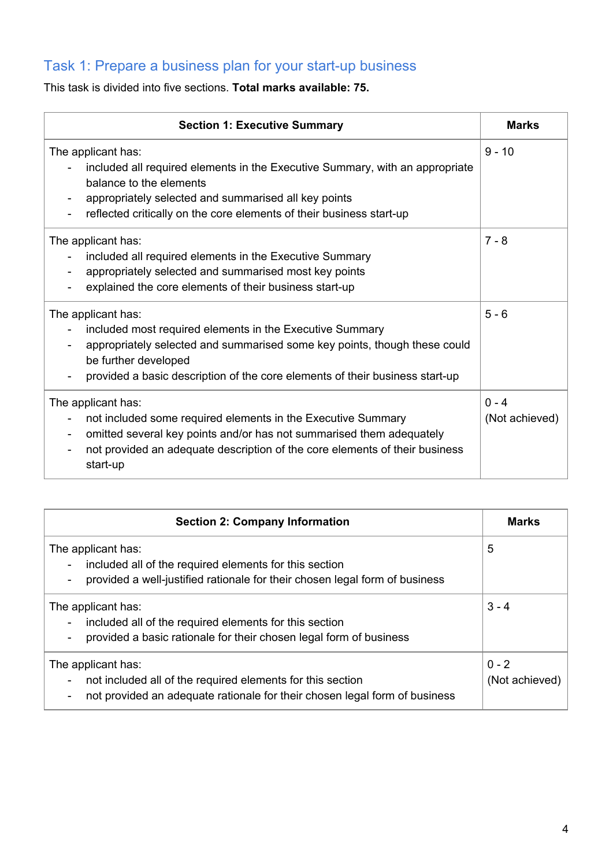### Task 1: Prepare a business plan for your start-up business

This task is divided into five sections. **Total marks available: 75.**

| <b>Section 1: Executive Summary</b>                                                                                                                                                                                                                                               | <b>Marks</b>              |
|-----------------------------------------------------------------------------------------------------------------------------------------------------------------------------------------------------------------------------------------------------------------------------------|---------------------------|
| The applicant has:<br>included all required elements in the Executive Summary, with an appropriate<br>balance to the elements<br>appropriately selected and summarised all key points<br>reflected critically on the core elements of their business start-up                     | $9 - 10$                  |
| The applicant has:<br>included all required elements in the Executive Summary<br>appropriately selected and summarised most key points<br>explained the core elements of their business start-up                                                                                  | $7 - 8$                   |
| The applicant has:<br>included most required elements in the Executive Summary<br>appropriately selected and summarised some key points, though these could<br>be further developed<br>provided a basic description of the core elements of their business start-up               | $5 - 6$                   |
| The applicant has:<br>not included some required elements in the Executive Summary<br>omitted several key points and/or has not summarised them adequately<br>$\overline{\phantom{a}}$<br>not provided an adequate description of the core elements of their business<br>start-up | $0 - 4$<br>(Not achieved) |

| <b>Section 2: Company Information</b>                                                                                                                                                                                  | <b>Marks</b>              |
|------------------------------------------------------------------------------------------------------------------------------------------------------------------------------------------------------------------------|---------------------------|
| The applicant has:<br>included all of the required elements for this section<br>$\overline{\phantom{a}}$<br>provided a well-justified rationale for their chosen legal form of business                                | 5                         |
| The applicant has:<br>included all of the required elements for this section<br>provided a basic rationale for their chosen legal form of business                                                                     | $3 - 4$                   |
| The applicant has:<br>not included all of the required elements for this section<br>$\overline{\phantom{a}}$<br>not provided an adequate rationale for their chosen legal form of business<br>$\overline{\phantom{a}}$ | $0 - 2$<br>(Not achieved) |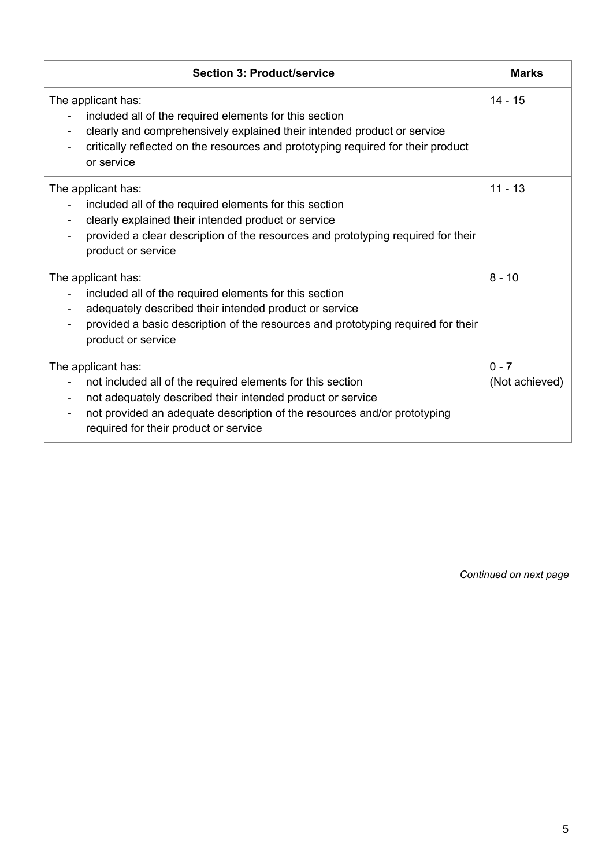| <b>Section 3: Product/service</b>                                                                                                                                                                                                                                   | <b>Marks</b>              |
|---------------------------------------------------------------------------------------------------------------------------------------------------------------------------------------------------------------------------------------------------------------------|---------------------------|
| The applicant has:<br>included all of the required elements for this section<br>clearly and comprehensively explained their intended product or service<br>critically reflected on the resources and prototyping required for their product<br>or service           | $14 - 15$                 |
| The applicant has:<br>included all of the required elements for this section<br>clearly explained their intended product or service<br>provided a clear description of the resources and prototyping required for their<br>product or service                       | $11 - 13$                 |
| The applicant has:<br>included all of the required elements for this section<br>adequately described their intended product or service<br>provided a basic description of the resources and prototyping required for their<br>product or service                    | $8 - 10$                  |
| The applicant has:<br>not included all of the required elements for this section<br>not adequately described their intended product or service<br>not provided an adequate description of the resources and/or prototyping<br>required for their product or service | $0 - 7$<br>(Not achieved) |

*Continued on next page*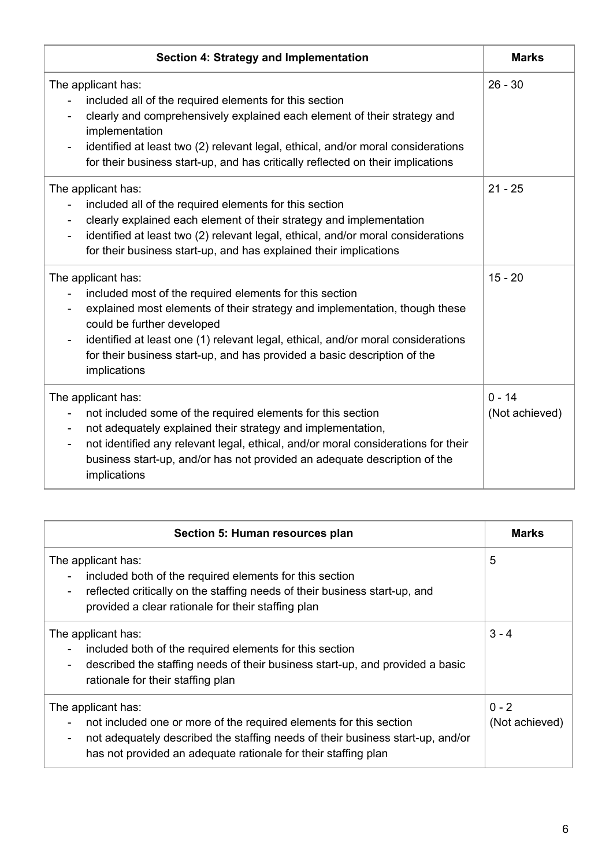| Section 4: Strategy and Implementation                                                                                                                                                                                                                                                                                                                                                     | <b>Marks</b>               |
|--------------------------------------------------------------------------------------------------------------------------------------------------------------------------------------------------------------------------------------------------------------------------------------------------------------------------------------------------------------------------------------------|----------------------------|
| The applicant has:<br>included all of the required elements for this section<br>clearly and comprehensively explained each element of their strategy and<br>implementation<br>identified at least two (2) relevant legal, ethical, and/or moral considerations<br>for their business start-up, and has critically reflected on their implications                                          | $26 - 30$                  |
| The applicant has:<br>included all of the required elements for this section<br>clearly explained each element of their strategy and implementation<br>identified at least two (2) relevant legal, ethical, and/or moral considerations<br>$\overline{\phantom{a}}$<br>for their business start-up, and has explained their implications                                                   | $21 - 25$                  |
| The applicant has:<br>included most of the required elements for this section<br>explained most elements of their strategy and implementation, though these<br>could be further developed<br>identified at least one (1) relevant legal, ethical, and/or moral considerations<br>for their business start-up, and has provided a basic description of the<br>implications                  | $15 - 20$                  |
| The applicant has:<br>not included some of the required elements for this section<br>not adequately explained their strategy and implementation,<br>$\overline{\phantom{a}}$<br>not identified any relevant legal, ethical, and/or moral considerations for their<br>$\overline{\phantom{a}}$<br>business start-up, and/or has not provided an adequate description of the<br>implications | $0 - 14$<br>(Not achieved) |

| Section 5: Human resources plan                                                                                                                                                                                                                                                                      | <b>Marks</b>              |
|------------------------------------------------------------------------------------------------------------------------------------------------------------------------------------------------------------------------------------------------------------------------------------------------------|---------------------------|
| The applicant has:<br>included both of the required elements for this section<br>reflected critically on the staffing needs of their business start-up, and<br>-<br>provided a clear rationale for their staffing plan                                                                               | 5                         |
| The applicant has:<br>included both of the required elements for this section<br>described the staffing needs of their business start-up, and provided a basic<br>-<br>rationale for their staffing plan                                                                                             | $3 - 4$                   |
| The applicant has:<br>not included one or more of the required elements for this section<br>$\overline{\phantom{a}}$<br>not adequately described the staffing needs of their business start-up, and/or<br>$\overline{\phantom{a}}$<br>has not provided an adequate rationale for their staffing plan | $0 - 2$<br>(Not achieved) |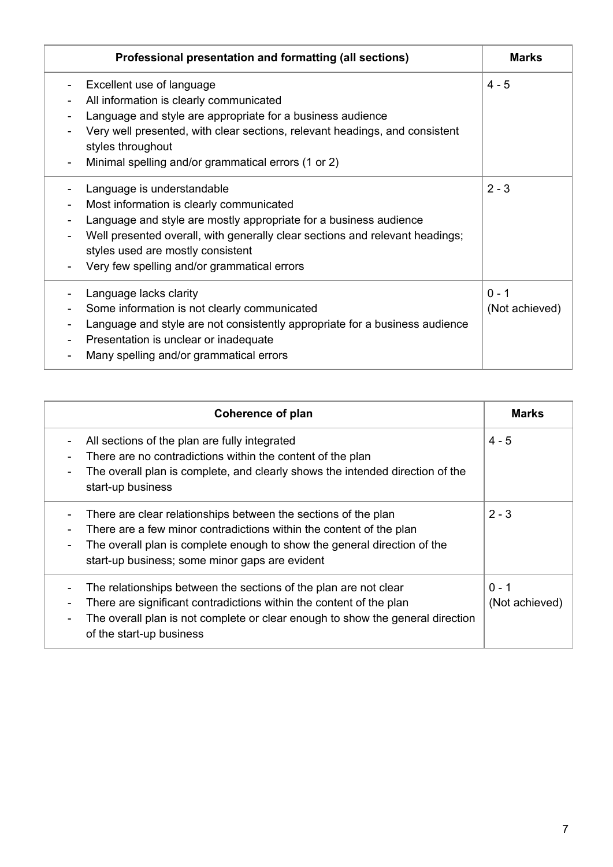| Professional presentation and formatting (all sections)                                                                                                                                                                                                                                                         | <b>Marks</b>              |
|-----------------------------------------------------------------------------------------------------------------------------------------------------------------------------------------------------------------------------------------------------------------------------------------------------------------|---------------------------|
| Excellent use of language<br>All information is clearly communicated<br>Language and style are appropriate for a business audience<br>Very well presented, with clear sections, relevant headings, and consistent<br>styles throughout<br>Minimal spelling and/or grammatical errors (1 or 2)                   | $4 - 5$                   |
| Language is understandable<br>Most information is clearly communicated<br>Language and style are mostly appropriate for a business audience<br>Well presented overall, with generally clear sections and relevant headings;<br>styles used are mostly consistent<br>Very few spelling and/or grammatical errors | $2 - 3$                   |
| Language lacks clarity<br>Some information is not clearly communicated<br>Language and style are not consistently appropriate for a business audience<br>Presentation is unclear or inadequate<br>$\overline{\phantom{a}}$<br>Many spelling and/or grammatical errors                                           | $0 - 1$<br>(Not achieved) |

| Coherence of plan                                                                                                                                                                                                                                                                     | <b>Marks</b>              |
|---------------------------------------------------------------------------------------------------------------------------------------------------------------------------------------------------------------------------------------------------------------------------------------|---------------------------|
| All sections of the plan are fully integrated<br>$\overline{\phantom{a}}$<br>There are no contradictions within the content of the plan<br>$\overline{\phantom{a}}$<br>The overall plan is complete, and clearly shows the intended direction of the<br>start-up business             | $4 - 5$                   |
| There are clear relationships between the sections of the plan<br>There are a few minor contradictions within the content of the plan<br>The overall plan is complete enough to show the general direction of the<br>start-up business; some minor gaps are evident                   | $2 - 3$                   |
| The relationships between the sections of the plan are not clear<br>There are significant contradictions within the content of the plan<br>The overall plan is not complete or clear enough to show the general direction<br>$\qquad \qquad \blacksquare$<br>of the start-up business | $0 - 1$<br>(Not achieved) |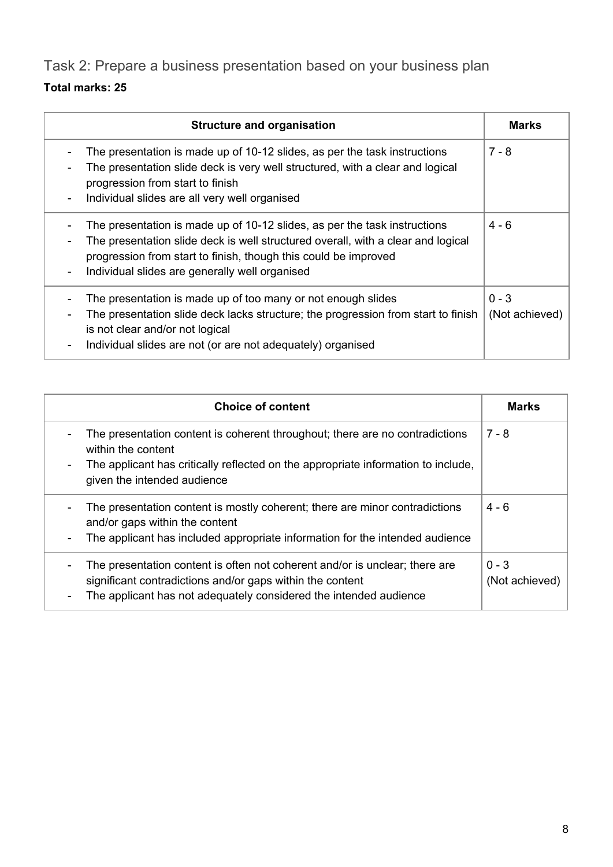Task 2: Prepare a business presentation based on your business plan

### **Total marks: 25**

| <b>Structure and organisation</b>                                                                                                                                                                                                                                                  | <b>Marks</b>              |
|------------------------------------------------------------------------------------------------------------------------------------------------------------------------------------------------------------------------------------------------------------------------------------|---------------------------|
| The presentation is made up of 10-12 slides, as per the task instructions<br>The presentation slide deck is very well structured, with a clear and logical<br>progression from start to finish<br>Individual slides are all very well organised                                    | $7 - 8$                   |
| The presentation is made up of 10-12 slides, as per the task instructions<br>The presentation slide deck is well structured overall, with a clear and logical<br>progression from start to finish, though this could be improved<br>Individual slides are generally well organised | $4 - 6$                   |
| The presentation is made up of too many or not enough slides<br>The presentation slide deck lacks structure; the progression from start to finish<br>is not clear and/or not logical<br>Individual slides are not (or are not adequately) organised                                | $0 - 3$<br>(Not achieved) |

| <b>Choice of content</b>                                                                                                                                                                                                                                                       | <b>Marks</b>              |
|--------------------------------------------------------------------------------------------------------------------------------------------------------------------------------------------------------------------------------------------------------------------------------|---------------------------|
| The presentation content is coherent throughout; there are no contradictions<br>$\overline{\phantom{a}}$<br>within the content<br>The applicant has critically reflected on the appropriate information to include,<br>$\overline{\phantom{a}}$<br>given the intended audience | $7 - 8$                   |
| The presentation content is mostly coherent; there are minor contradictions<br>$\overline{\phantom{a}}$<br>and/or gaps within the content<br>The applicant has included appropriate information for the intended audience<br>$\overline{\phantom{a}}$                          | $4 - 6$                   |
| The presentation content is often not coherent and/or is unclear; there are<br>$\overline{\phantom{a}}$<br>significant contradictions and/or gaps within the content<br>The applicant has not adequately considered the intended audience<br>$\overline{\phantom{a}}$          | $0 - 3$<br>(Not achieved) |